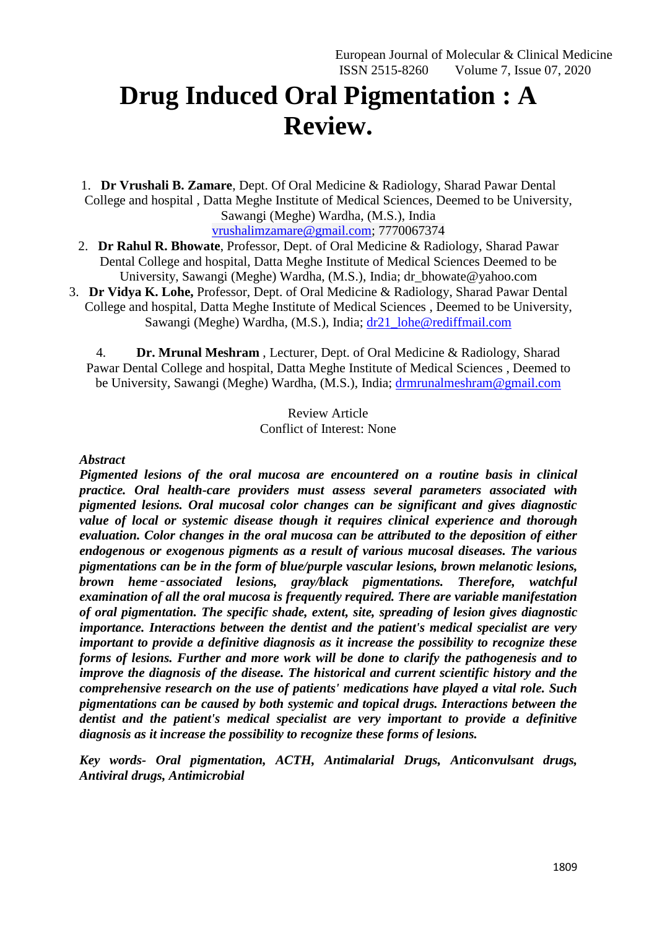# **Drug Induced Oral Pigmentation : A Review.**

1. **Dr Vrushali B. Zamare**, Dept. Of Oral Medicine & Radiology, Sharad Pawar Dental College and hospital , Datta Meghe Institute of Medical Sciences, Deemed to be University, Sawangi (Meghe) Wardha, (M.S.), India [vrushalimzamare@gmail.com;](mailto:vrushalimzamare@gmail.com) 7770067374

- 2. **Dr Rahul R. Bhowate**, Professor, Dept. of Oral Medicine & Radiology, Sharad Pawar Dental College and hospital, Datta Meghe Institute of Medical Sciences Deemed to be University, Sawangi (Meghe) Wardha, (M.S.), India; dr\_bhowate@yahoo.com
- 3. **Dr Vidya K. Lohe,** Professor, Dept. of Oral Medicine & Radiology, Sharad Pawar Dental College and hospital, Datta Meghe Institute of Medical Sciences , Deemed to be University, Sawangi (Meghe) Wardha, (M.S.), India; [dr21\\_lohe@rediffmail.com](mailto:dr21_lohe@rediffmail.com)

4. **Dr. Mrunal Meshram** , Lecturer, Dept. of Oral Medicine & Radiology, Sharad Pawar Dental College and hospital, Datta Meghe Institute of Medical Sciences , Deemed to be University, Sawangi (Meghe) Wardha, (M.S.), India; [drmrunalmeshram@gmail.com](mailto:drmrunalmeshram@gmail.com)

> Review Article Conflict of Interest: None

## *Abstract*

*Pigmented lesions of the oral mucosa are encountered on a routine basis in clinical practice. Oral health-care providers must assess several parameters associated with pigmented lesions. Oral mucosal color changes can be significant and gives diagnostic value of local or systemic disease though it requires clinical experience and thorough evaluation. Color changes in the oral mucosa can be attributed to the deposition of either endogenous or exogenous pigments as a result of various mucosal diseases. The various pigmentations can be in the form of blue/purple vascular lesions, brown melanotic lesions, brown heme*‑ *associated lesions, gray/black pigmentations. Therefore, watchful examination of all the oral mucosa is frequently required. There are variable manifestation of oral pigmentation. The specific shade, extent, site, spreading of lesion gives diagnostic importance. Interactions between the dentist and the patient's medical specialist are very important to provide a definitive diagnosis as it increase the possibility to recognize these forms of lesions. Further and more work will be done to clarify the pathogenesis and to improve the diagnosis of the disease. The historical and current scientific history and the comprehensive research on the use of patients' medications have played a vital role. Such pigmentations can be caused by both systemic and topical drugs. Interactions between the dentist and the patient's medical specialist are very important to provide a definitive diagnosis as it increase the possibility to recognize these forms of lesions.*

*Key words- Oral pigmentation, ACTH, Antimalarial Drugs, Anticonvulsant drugs, Antiviral drugs, Antimicrobial*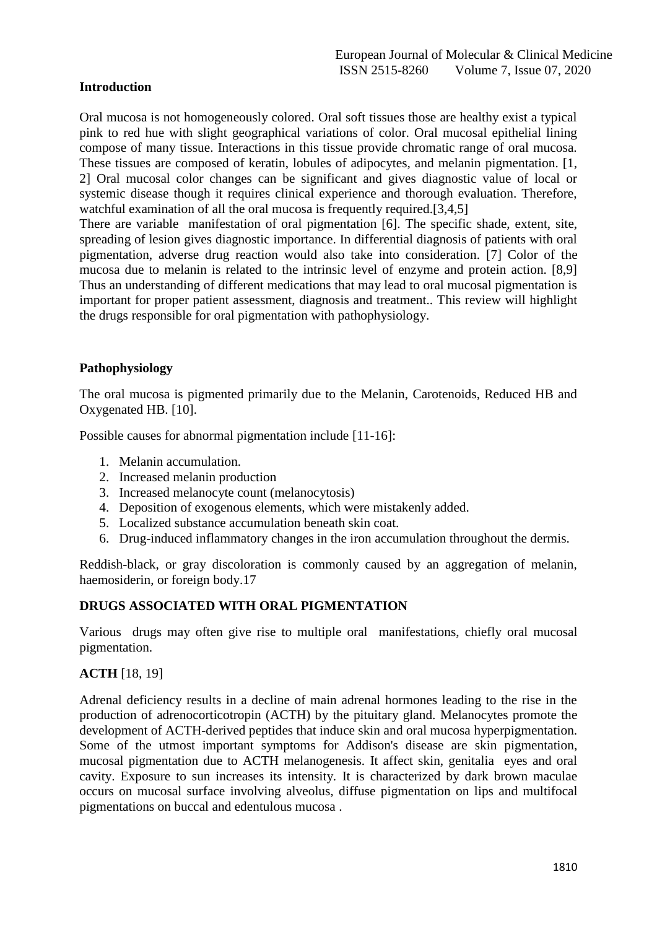## **Introduction**

Oral mucosa is not homogeneously colored. Oral soft tissues those are healthy exist a typical pink to red hue with slight geographical variations of color. Oral mucosal epithelial lining compose of many tissue. Interactions in this tissue provide chromatic range of oral mucosa. These tissues are composed of keratin, lobules of adipocytes, and melanin pigmentation. [1, 2] Oral mucosal color changes can be significant and gives diagnostic value of local or systemic disease though it requires clinical experience and thorough evaluation. Therefore, watchful examination of all the oral mucosa is frequently required.[3,4,5]

There are variable manifestation of oral pigmentation [6]. The specific shade, extent, site, spreading of lesion gives diagnostic importance. In differential diagnosis of patients with oral pigmentation, adverse drug reaction would also take into consideration. [7] Color of the mucosa due to melanin is related to the intrinsic level of enzyme and protein action. [8,9] Thus an understanding of different medications that may lead to oral mucosal pigmentation is important for proper patient assessment, diagnosis and treatment.. This review will highlight the drugs responsible for oral pigmentation with pathophysiology.

## **Pathophysiology**

The oral mucosa is pigmented primarily due to the Melanin, Carotenoids, Reduced HB and Oxygenated HB. [10].

Possible causes for abnormal pigmentation include [11-16]:

- 1. Melanin accumulation.
- 2. Increased melanin production
- 3. Increased melanocyte count (melanocytosis)
- 4. Deposition of exogenous elements, which were mistakenly added.
- 5. Localized substance accumulation beneath skin coat.
- 6. Drug-induced inflammatory changes in the iron accumulation throughout the dermis.

Reddish-black, or gray discoloration is commonly caused by an aggregation of melanin, haemosiderin, or foreign body.17

#### **DRUGS ASSOCIATED WITH ORAL PIGMENTATION**

Various drugs may often give rise to multiple oral manifestations, chiefly oral mucosal pigmentation.

#### **ACTH** [18, 19]

Adrenal deficiency results in a decline of main adrenal hormones leading to the rise in the production of adrenocorticotropin (ACTH) by the pituitary gland. Melanocytes promote the development of ACTH-derived peptides that induce skin and oral mucosa hyperpigmentation. Some of the utmost important symptoms for Addison's disease are skin pigmentation, mucosal pigmentation due to ACTH melanogenesis. It affect skin, genitalia eyes and oral cavity. Exposure to sun increases its intensity. It is characterized by dark brown maculae occurs on mucosal surface involving alveolus, diffuse pigmentation on lips and multifocal pigmentations on buccal and edentulous mucosa .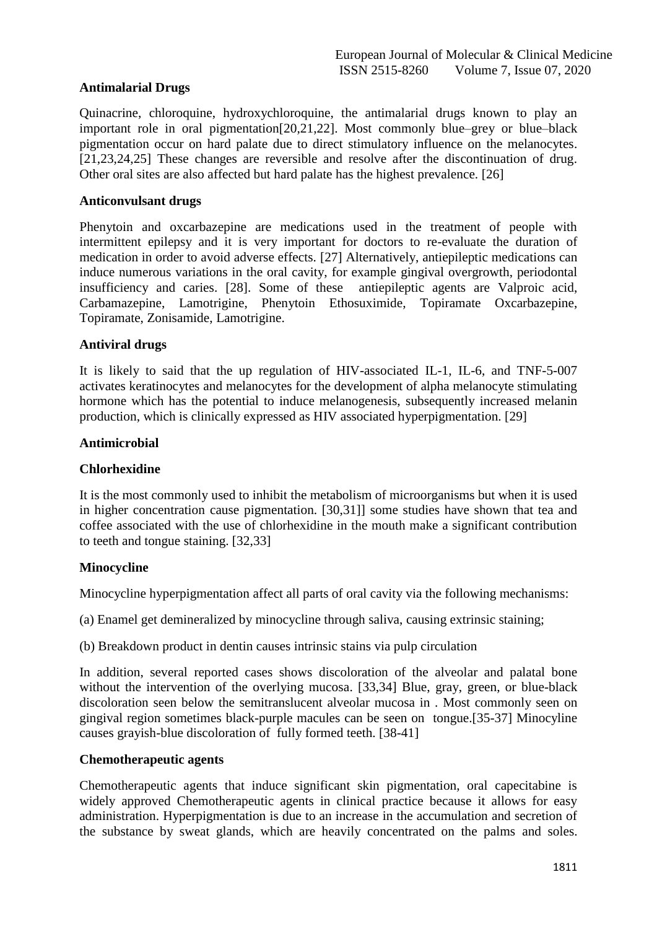## **Antimalarial Drugs**

Quinacrine, chloroquine, hydroxychloroquine, the antimalarial drugs known to play an important role in oral pigmentation[20,21,22]. Most commonly blue–grey or blue–black pigmentation occur on hard palate due to direct stimulatory influence on the melanocytes. [21,23,24,25] These changes are reversible and resolve after the discontinuation of drug. Other oral sites are also affected but hard palate has the highest prevalence. [26]

### **Anticonvulsant drugs**

Phenytoin and oxcarbazepine are medications used in the treatment of people with intermittent epilepsy and it is very important for doctors to re-evaluate the duration of medication in order to avoid adverse effects. [27] Alternatively, antiepileptic medications can induce numerous variations in the oral cavity, for example gingival overgrowth, periodontal insufficiency and caries. [28]. Some of these antiepileptic agents are Valproic acid, Carbamazepine, Lamotrigine, Phenytoin Ethosuximide, Topiramate Oxcarbazepine, Topiramate, Zonisamide, Lamotrigine.

#### **Antiviral drugs**

It is likely to said that the up regulation of HIV-associated IL-1, IL-6, and TNF-5-007 activates keratinocytes and melanocytes for the development of alpha melanocyte stimulating hormone which has the potential to induce melanogenesis, subsequently increased melanin production, which is clinically expressed as HIV associated hyperpigmentation. [29]

#### **Antimicrobial**

#### **Chlorhexidine**

It is the most commonly used to inhibit the metabolism of microorganisms but when it is used in higher concentration cause pigmentation. [30,31]] some studies have shown that tea and coffee associated with the use of chlorhexidine in the mouth make a significant contribution to teeth and tongue staining. [32,33]

#### **Minocycline**

Minocycline hyperpigmentation affect all parts of oral cavity via the following mechanisms:

(a) Enamel get demineralized by minocycline through saliva, causing extrinsic staining;

(b) Breakdown product in dentin causes intrinsic stains via pulp circulation

In addition, several reported cases shows discoloration of the alveolar and palatal bone without the intervention of the overlying mucosa. [33,34] Blue, gray, green, or blue-black discoloration seen below the semitranslucent alveolar mucosa in . Most commonly seen on gingival region sometimes black-purple macules can be seen on tongue.[35-37] Minocyline causes grayish-blue discoloration of fully formed teeth. [38-41]

## **Chemotherapeutic agents**

Chemotherapeutic agents that induce significant skin pigmentation, oral capecitabine is widely approved Chemotherapeutic agents in clinical practice because it allows for easy administration. Hyperpigmentation is due to an increase in the accumulation and secretion of the substance by sweat glands, which are heavily concentrated on the palms and soles.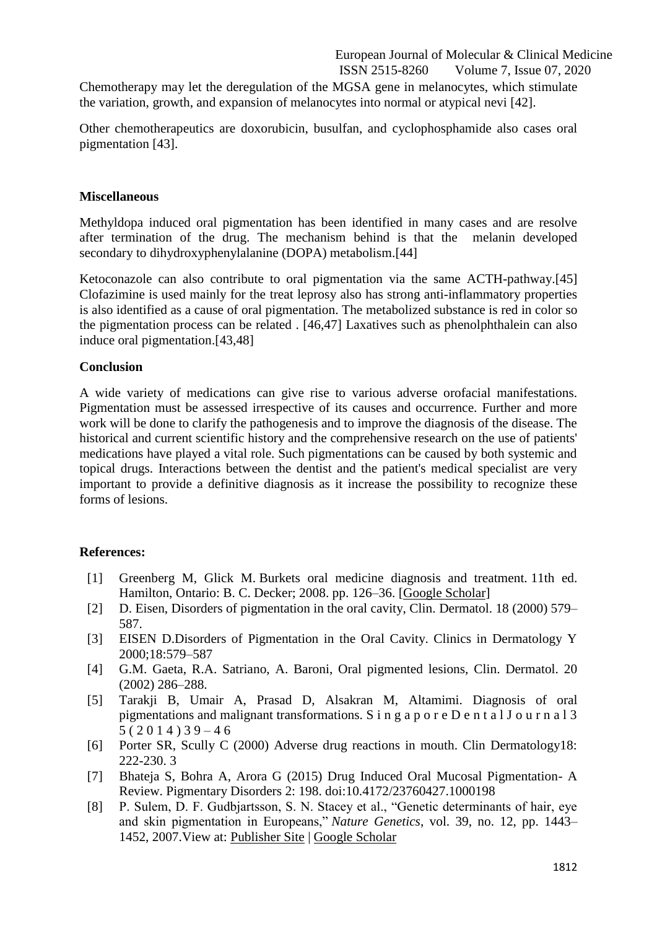Chemotherapy may let the deregulation of the MGSA gene in melanocytes, which stimulate the variation, growth, and expansion of melanocytes into normal or atypical nevi [42].

Other chemotherapeutics are doxorubicin, busulfan, and cyclophosphamide also cases oral pigmentation [43].

#### **Miscellaneous**

Methyldopa induced oral pigmentation has been identified in many cases and are resolve after termination of the drug. The mechanism behind is that the melanin developed secondary to dihydroxyphenylalanine (DOPA) metabolism.[44]

Ketoconazole can also contribute to oral pigmentation via the same ACTH-pathway.[45] Clofazimine is used mainly for the treat leprosy also has strong anti-inflammatory properties is also identified as a cause of oral pigmentation. The metabolized substance is red in color so the pigmentation process can be related . [46,47] Laxatives such as phenolphthalein can also induce oral pigmentation.[43,48]

#### **Conclusion**

A wide variety of medications can give rise to various adverse orofacial manifestations. Pigmentation must be assessed irrespective of its causes and occurrence. Further and more work will be done to clarify the pathogenesis and to improve the diagnosis of the disease. The historical and current scientific history and the comprehensive research on the use of patients' medications have played a vital role. Such pigmentations can be caused by both systemic and topical drugs. Interactions between the dentist and the patient's medical specialist are very important to provide a definitive diagnosis as it increase the possibility to recognize these forms of lesions.

#### **References:**

- [1] Greenberg M, Glick M. Burkets oral medicine diagnosis and treatment. 11th ed. Hamilton, Ontario: B. C. Decker; 2008. pp. 126–36. [\[Google Scholar\]](https://scholar.google.com/scholar_lookup?title=Burkets+oral+medicine+diagnosis+and+treatment&author=M+Greenberg&author=M+Glick&publication_year=2003&)
- [2] D. Eisen, Disorders of pigmentation in the oral cavity, Clin. Dermatol. 18 (2000) 579– 587.
- [3] EISEN D.Disorders of Pigmentation in the Oral Cavity. Clinics in Dermatology Y 2000;18:579–587
- [4] G.M. Gaeta, R.A. Satriano, A. Baroni, Oral pigmented lesions, Clin. Dermatol. 20 (2002) 286–288.
- [5] Tarakji B, Umair A, Prasad D, Alsakran M, Altamimi. Diagnosis of oral pigmentations and malignant transformations. S i n g a p o r e D e n t a l J o u r n a l 3  $5(2014)39 - 46$
- [6] Porter SR, Scully C (2000) Adverse drug reactions in mouth. Clin Dermatology18: 222-230. 3
- [7] Bhateja S, Bohra A, Arora G (2015) Drug Induced Oral Mucosal Pigmentation- A Review. Pigmentary Disorders 2: 198. doi:10.4172/23760427.1000198
- [8] P. Sulem, D. F. Gudbjartsson, S. N. Stacey et al., "Genetic determinants of hair, eye and skin pigmentation in Europeans," *Nature Genetics*, vol. 39, no. 12, pp. 1443– 1452, 2007.View at: [Publisher Site](https://doi.org/10.1038/ng.2007.13) | [Google Scholar](https://scholar.google.com/scholar_lookup?title=Genetic%20determinants%20of%20hair,%20eye%20and%20skin%20pigmentation%20in%20Europeans&author=P.%20Sulem&author=D.%20F.%20Gudbjartsson&author=S.%20N.%20Stacey%20et%20al.&publication_year=2007)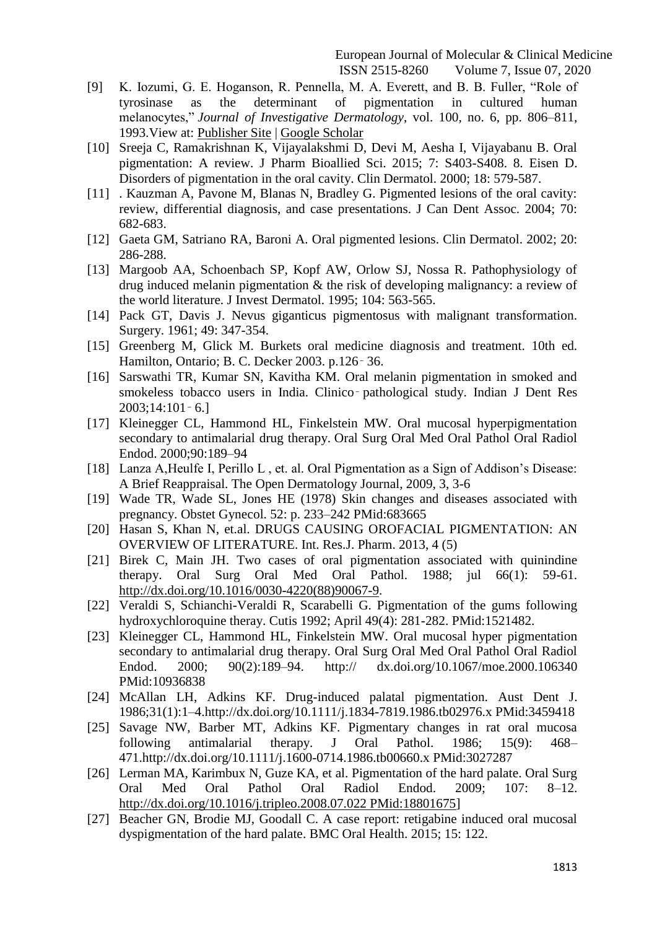- [9] K. Iozumi, G. E. Hoganson, R. Pennella, M. A. Everett, and B. B. Fuller, "Role of tyrosinase as the determinant of pigmentation in cultured human melanocytes," *Journal of Investigative Dermatology*, vol. 100, no. 6, pp. 806–811, 1993.View at: [Publisher Site](https://doi.org/10.1111/1523-1747.ep12476630) | [Google Scholar](https://scholar.google.com/scholar_lookup?title=Role%20of%20tyrosinase%20as%20the%20determinant%20of%20pigmentation%20in%20cultured%20human%20melanocytes&author=K.%20Iozumi&author=G.%20E.%20Hoganson&author=R.%20Pennella&author=M.%20A.%20Everett&author=&author=B.%20B.%20Fuller&publication_year=1993)
- [10] Sreeja C, Ramakrishnan K, Vijayalakshmi D, Devi M, Aesha I, Vijayabanu B. Oral pigmentation: A review. J Pharm Bioallied Sci. 2015; 7: S403-S408. 8. Eisen D. Disorders of pigmentation in the oral cavity. Clin Dermatol. 2000; 18: 579-587.
- [11] . Kauzman A, Pavone M, Blanas N, Bradley G. Pigmented lesions of the oral cavity: review, differential diagnosis, and case presentations. J Can Dent Assoc. 2004; 70: 682-683.
- [12] Gaeta GM, Satriano RA, Baroni A. Oral pigmented lesions. Clin Dermatol. 2002; 20: 286-288.
- [13] Margoob AA, Schoenbach SP, Kopf AW, Orlow SJ, Nossa R. Pathophysiology of drug induced melanin pigmentation & the risk of developing malignancy: a review of the world literature. J Invest Dermatol. 1995; 104: 563-565.
- [14] Pack GT, Davis J. Nevus giganticus pigmentosus with malignant transformation. Surgery. 1961; 49: 347-354.
- [15] Greenberg M, Glick M. Burkets oral medicine diagnosis and treatment. 10th ed. Hamilton, Ontario; B. C. Decker 2003. p.126‑ 36.
- [16] Sarswathi TR, Kumar SN, Kavitha KM. Oral melanin pigmentation in smoked and smokeless tobacco users in India. Clinico–pathological study. Indian J Dent Res 2003;14:101‑ 6.]
- [17] Kleinegger CL, Hammond HL, Finkelstein MW. Oral mucosal hyperpigmentation secondary to antimalarial drug therapy. Oral Surg Oral Med Oral Pathol Oral Radiol Endod. 2000;90:189–94
- [18] Lanza A,Heulfe I, Perillo L , et. al. Oral Pigmentation as a Sign of Addison's Disease: A Brief Reappraisal. The Open Dermatology Journal, 2009, 3, 3-6
- [19] Wade TR, Wade SL, Jones HE (1978) Skin changes and diseases associated with pregnancy. Obstet Gynecol. 52: p. 233–242 PMid:683665
- [20] Hasan S, Khan N, et.al. DRUGS CAUSING OROFACIAL PIGMENTATION: AN OVERVIEW OF LITERATURE. Int. Res.J. Pharm. 2013, 4 (5)
- [21] Birek C, Main JH. Two cases of oral pigmentation associated with quinindine therapy. Oral Surg Oral Med Oral Pathol. 1988; jul 66(1): 59-61. [http://dx.doi.org/10.1016/0030-4220\(88\)90067-9.](http://dx.doi.org/10.1016/0030-4220(88)90067-9)
- [22] Veraldi S, Schianchi-Veraldi R, Scarabelli G. Pigmentation of the gums following hydroxychloroquine theray. Cutis 1992; April 49(4): 281-282. PMid:1521482.
- [23] Kleinegger CL, Hammond HL, Finkelstein MW. Oral mucosal hyper pigmentation secondary to antimalarial drug therapy. Oral Surg Oral Med Oral Pathol Oral Radiol Endod. 2000; 90(2):189–94. http:// dx.doi.org/10.1067/moe.2000.106340 PMid:10936838
- [24] McAllan LH, Adkins KF. Drug-induced palatal pigmentation. Aust Dent J. 1986;31(1):1–4.http://dx.doi.org/10.1111/j.1834-7819.1986.tb02976.x PMid:3459418
- [25] Savage NW, Barber MT, Adkins KF. Pigmentary changes in rat oral mucosa following antimalarial therapy. J Oral Pathol. 1986; 15(9): 468– 471.http://dx.doi.org/10.1111/j.1600-0714.1986.tb00660.x PMid:3027287
- [26] Lerman MA, Karimbux N, Guze KA, et al. Pigmentation of the hard palate. Oral Surg Oral Med Oral Pathol Oral Radiol Endod. 2009; 107: 8–12. [http://dx.doi.org/10.1016/j.tripleo.2008.07.022 PMid:18801675\]](http://dx.doi.org/10.1016/j.tripleo.2008.07.022%20PMid:18801675)
- [27] Beacher GN, Brodie MJ, Goodall C. A case report: retigabine induced oral mucosal dyspigmentation of the hard palate. BMC Oral Health. 2015; 15: 122.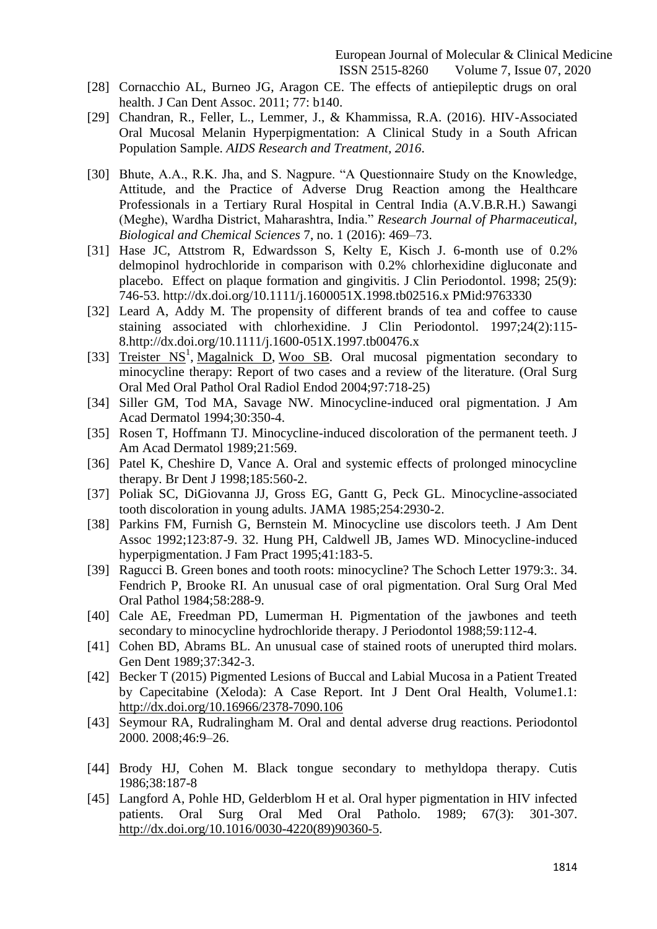- [28] Cornacchio AL, Burneo JG, Aragon CE. The effects of antiepileptic drugs on oral health. J Can Dent Assoc. 2011; 77: b140.
- [29] Chandran, R., Feller, L., Lemmer, J., & Khammissa, R.A. (2016). HIV-Associated Oral Mucosal Melanin Hyperpigmentation: A Clinical Study in a South African Population Sample. *AIDS Research and Treatment, 2016*.
- [30] Bhute, A.A., R.K. Jha, and S. Nagpure. "A Questionnaire Study on the Knowledge, Attitude, and the Practice of Adverse Drug Reaction among the Healthcare Professionals in a Tertiary Rural Hospital in Central India (A.V.B.R.H.) Sawangi (Meghe), Wardha District, Maharashtra, India." *Research Journal of Pharmaceutical, Biological and Chemical Sciences* 7, no. 1 (2016): 469–73.
- [31] Hase JC, Attstrom R, Edwardsson S, Kelty E, Kisch J. 6-month use of 0.2% delmopinol hydrochloride in comparison with 0.2% chlorhexidine digluconate and placebo. Effect on plaque formation and gingivitis. J Clin Periodontol. 1998; 25(9): 746-53. http://dx.doi.org/10.1111/j.1600051X.1998.tb02516.x PMid:9763330
- [32] Leard A, Addy M. The propensity of different brands of tea and coffee to cause staining associated with chlorhexidine. J Clin Periodontol. 1997;24(2):115- 8.http://dx.doi.org/10.1111/j.1600-051X.1997.tb00476.x
- [33] Treister  $NS<sup>1</sup>$ , [Magalnick D,](https://www.ncbi.nlm.nih.gov/pubmed/?term=Magalnick%20D%5BAuthor%5D&cauthor=true&cauthor_uid=15184854) [Woo SB.](https://www.ncbi.nlm.nih.gov/pubmed/?term=Woo%20SB%5BAuthor%5D&cauthor=true&cauthor_uid=15184854) Oral mucosal pigmentation secondary to minocycline therapy: Report of two cases and a review of the literature. (Oral Surg Oral Med Oral Pathol Oral Radiol Endod 2004;97:718-25)
- [34] Siller GM, Tod MA, Savage NW. Minocycline-induced oral pigmentation. J Am Acad Dermatol 1994;30:350-4.
- [35] Rosen T, Hoffmann TJ. Minocycline-induced discoloration of the permanent teeth. J Am Acad Dermatol 1989;21:569.
- [36] Patel K, Cheshire D, Vance A. Oral and systemic effects of prolonged minocycline therapy. Br Dent J 1998;185:560-2.
- [37] Poliak SC, DiGiovanna JJ, Gross EG, Gantt G, Peck GL. Minocycline-associated tooth discoloration in young adults. JAMA 1985;254:2930-2.
- [38] Parkins FM, Furnish G, Bernstein M. Minocycline use discolors teeth. J Am Dent Assoc 1992;123:87-9. 32. Hung PH, Caldwell JB, James WD. Minocycline-induced hyperpigmentation. J Fam Pract 1995;41:183-5.
- [39] Ragucci B. Green bones and tooth roots: minocycline? The Schoch Letter 1979:3:. 34. Fendrich P, Brooke RI. An unusual case of oral pigmentation. Oral Surg Oral Med Oral Pathol 1984;58:288-9.
- [40] Cale AE, Freedman PD, Lumerman H. Pigmentation of the jawbones and teeth secondary to minocycline hydrochloride therapy. J Periodontol 1988;59:112-4.
- [41] Cohen BD, Abrams BL. An unusual case of stained roots of unerupted third molars. Gen Dent 1989;37:342-3.
- [42] Becker T (2015) Pigmented Lesions of Buccal and Labial Mucosa in a Patient Treated by Capecitabine (Xeloda): A Case Report. Int J Dent Oral Health, Volume1.1: <http://dx.doi.org/10.16966/2378-7090.106>
- [43] Seymour RA, Rudralingham M. Oral and dental adverse drug reactions. Periodontol 2000. 2008;46:9–26.
- [44] Brody HJ, Cohen M. Black tongue secondary to methyldopa therapy. Cutis 1986;38:187-8
- [45] Langford A, Pohle HD, Gelderblom H et al. Oral hyper pigmentation in HIV infected patients. Oral Surg Oral Med Oral Patholo. 1989; 67(3): 301-307. [http://dx.doi.org/10.1016/0030-4220\(89\)90360-5.](http://dx.doi.org/10.1016/0030-4220(89)90360-5)